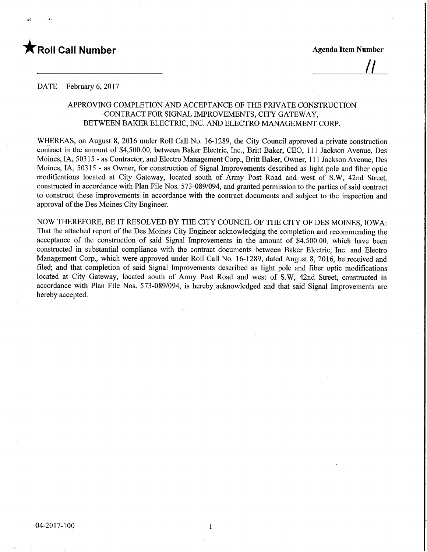# **T** Roll Call Number Agenda Item Number

<u>||</u>

#### DATE February 6, 2017

## APPROVING COMPLETION AND ACCEPTANCE OF THE PRIVATE CONSTRUCTION CONTRACT FOR SIGNAL IMPROVEMENTS, CITY GATEWAY, BETWEEN BAKER ELECTRIC, INC. AND ELECTRO MANAGEMENT CORP.

WHEREAS, on August 8, 2016 under Roll Call No. 16-1289, the City Council approved a private construction contract in the amount of \$4,500.00, between Baker Electric, Inc., Britt Baker, CEO, 11 1 Jackson Avenue, Des Moines, IA, 50315 - as Contractor, and Electro Management Corp., Britt Baker, Owner, 11 1 Jackson Avenue, Des Moines, IA, 50315 - as Owner, for construction of Signal Improvements described as light pole and fiber optic modifications located at City Gateway, located south of Army Post Road and west of S.W, 42nd Street, constructed in accordance with Plan File Nos. 573-089/094, and granted permission to the parties of said contract to construct these improvements in accordance with the contract documents and subject to the inspection and approval of the Des Moines City Engineer.

NOW THEREFORE, BE IT RESOLVED BY THE CITY COUNCIL OF THE CITY OF DES MOINES, IOWA: That the attached report of the Des Moines City Engineer acknowledging the completion and recommending the acceptance of the construction of said Signal Improvements in the amount of \$4,500.00, which have been constructed in substantial compliance with the contract documents between Baker Electric, Inc. and Electro Management Corp., which were approved under Roll Call No. 16-1289, dated August 8, 2016, be received and filed; and that completion of said Signal Improvements described as light pole and fiber optic modifications located at City Gateway, located south of Army Post Road and west of S.W, 42nd Street, constructed in accordance with Plan File Nos. 573-089/094, is hereby acknowledged and that said Signal Improvements are hereby accepted.

 $\mathbf{1}$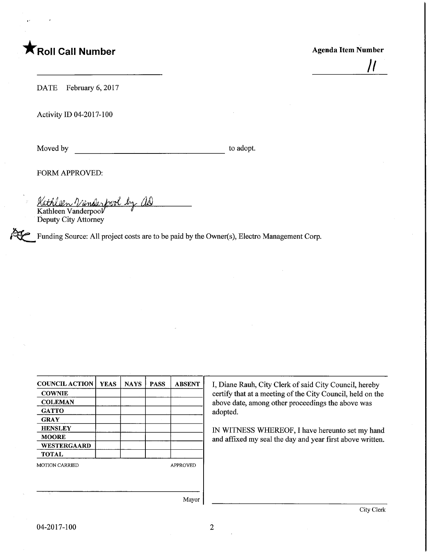# **TRoll Call Number** Agenda Item Number

//

DATE February 6, 2017

Activity ID 04-2017-100

Moved by to adopt.

FORM APPROVED:

<u>Kathleen Vanderfrol by as</u> Kathleen Vanderpool Deputy City Attorney

Funding Source: All project costs are to be paid by the Owner(s), Electro Management Corp.

| <b>COUNCIL ACTION</b>                    | <b>YEAS</b> | <b>NAYS</b> | <b>PASS</b> | <b>ABSENT</b> |  |  |
|------------------------------------------|-------------|-------------|-------------|---------------|--|--|
| <b>COWNIE</b>                            |             |             |             |               |  |  |
| <b>COLEMAN</b>                           |             |             |             |               |  |  |
| <b>GATTO</b>                             |             |             |             |               |  |  |
| <b>GRAY</b>                              |             |             |             |               |  |  |
| <b>HENSLEY</b>                           |             |             |             |               |  |  |
| <b>MOORE</b>                             |             |             |             |               |  |  |
| <b>WESTERGAARD</b>                       |             |             |             |               |  |  |
| <b>TOTAL</b>                             |             |             |             |               |  |  |
| <b>MOTION CARRIED</b><br><b>APPROVED</b> |             |             |             |               |  |  |
|                                          |             |             |             |               |  |  |
|                                          |             |             |             |               |  |  |
|                                          |             |             |             | Mavor         |  |  |

I, Diane Rauh, City Clerk of said City Council, hereby certify that at a meeting of the City Council, held on the above date, among other proceedings the above was adopted.

IN WITNESS WHEREOF, I have hereunto set my hand and affixed my seal the day and year first above written.

Mayor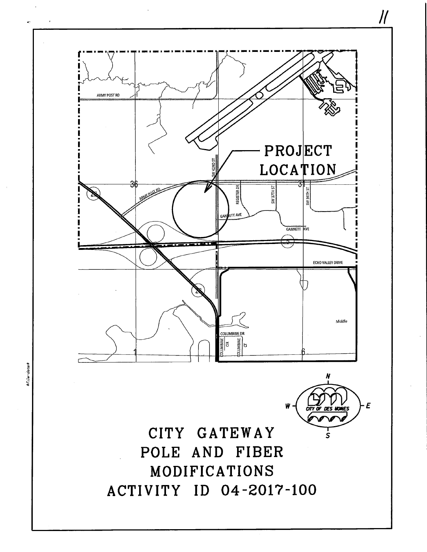

ARMY POST RD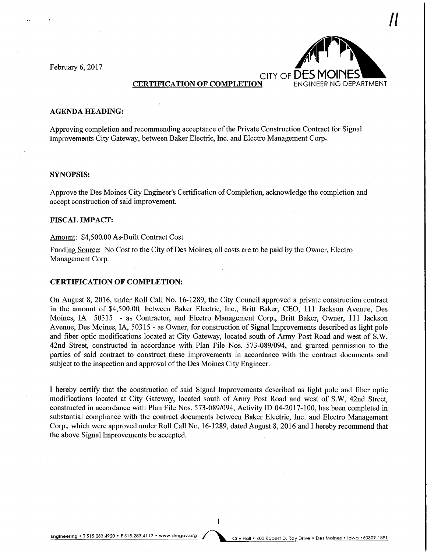

### **AGENDA HEADING:**

Approving completion and recommending acceptance of the Private Construction Contract for Signal Improvements City Gateway, between Baker Electric, Inc. and Electro Management Corp..

#### SYNOPSIS:

Approve the Des Moines City Engineer's Certification of Completion, acknowledge the completion and accept construction of said improvement.

### FISCAL IMPACT:

#### Amount: \$4,500.00 As-Built Contract Cost

Funding Source: No Cost to the City of Des Moines; all costs are to be paid by the Owner, Electro Management Corp.

#### CERTIFICATION OF COMPLETION:

On August 8, 2016, under Roll Call No. 16-1289, the City Council approved a private construction contract in the amount of \$4,500.00, between Baker Electric, Inc., Britt Baker, CEO, 111 Jackson Avenue, Des Moines, IA 50315 - as Contractor, and Electro Management Corp., Britt Baker, Owner, 111 Jackson Avenue, Des Moines, IA, 50315 - as Owner, for construction of Signal Improvements described as light pole and fiber optic modifications located at City Gateway, located south of Army Post Road and west of S.W, 42nd Street, constructed in accordance with Plan File Nos. 573-089/094, and granted permission to the parties of said contract to construct these improvements in accordance with the contract documents and subject to the inspection and approval of the Des Moines City Engineer.

I hereby certify that the construction of said Signal Improvements described as light pole and fiber optic modifications located at City Gateway, located south of Army Post Road and west of S.W, 42nd Street, constructed in accordance with Plan File Nos. 573-089/094, Activity ID 04-2017-100, has been completed in substantial compliance with the contract documents between Baker Electric, Inc. and Electro Management Corp., which were approved under Roll Call No. 16-1289, dated August 8, 2016 and I hereby recommend that the above Signal Improvements be accepted.

 $\mathbf{1}$ 

Engineering . T 515.283.4920 . F 515.283.4112 . www.dmgov.org City Hall . 400 Robert D. Ray Drive . Des Moines . Iowa . 50309-1891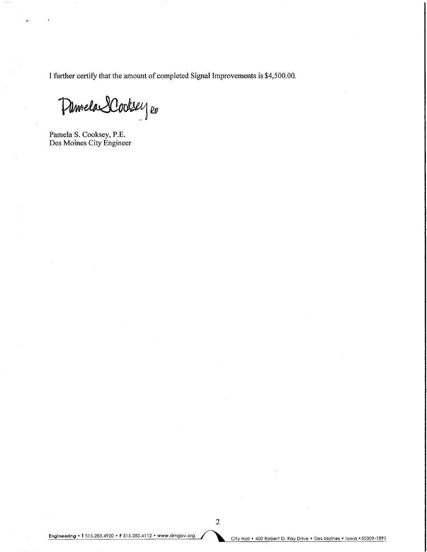I further certify that the amount of completed Signal Improvements is \$4,500.00.

Demela SCooksey Ro

Pamela S. Cooksey, P.E. Des Moines City Engineer

Engineering • T 515.283.4920 • F 515.283.4112 • www.dmgov.org<br>City Hall • 400 Robert D. Ray Drive • Des Moines • Iowa • 50309-1891